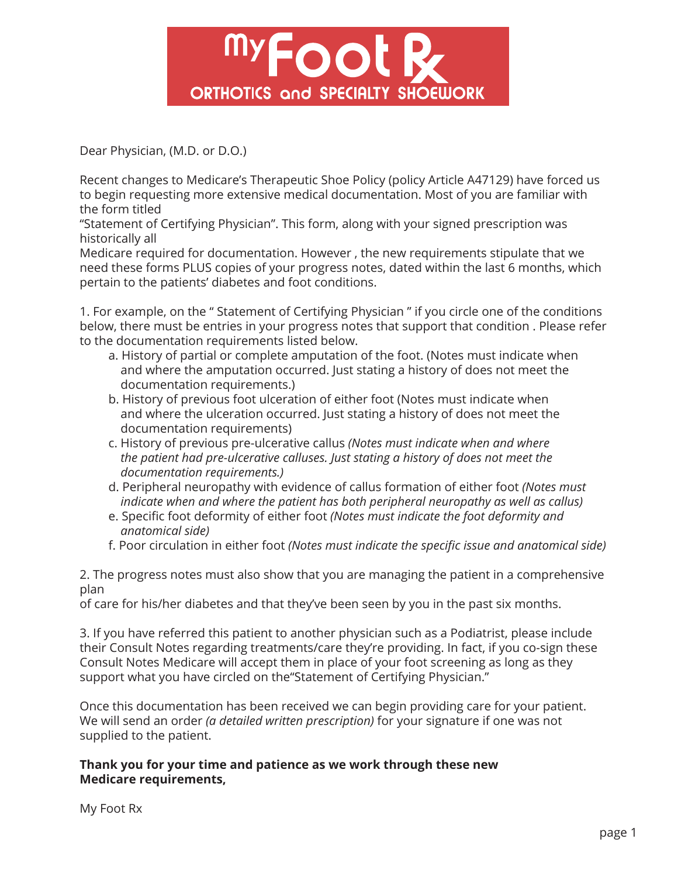

Dear Physician, (M.D. or D.O.)

Recent changes to Medicare's Therapeutic Shoe Policy (policy Article A47129) have forced us to begin requesting more extensive medical documentation. Most of you are familiar with the form titled

"Statement of Certifying Physician". This form, along with your signed prescription was historically all

Medicare required for documentation. However , the new requirements stipulate that we need these forms PLUS copies of your progress notes, dated within the last 6 months, which pertain to the patients' diabetes and foot conditions.

1. For example, on the " Statement of Certifying Physician " if you circle one of the conditions below, there must be entries in your progress notes that support that condition . Please refer to the documentation requirements listed below.

- a. History of partial or complete amputation of the foot. (Notes must indicate when and where the amputation occurred. Just stating a history of does not meet the documentation requirements.)
- b. History of previous foot ulceration of either foot (Notes must indicate when and where the ulceration occurred. Just stating a history of does not meet the documentation requirements)
- c. History of previous pre-ulcerative callus *(Notes must indicate when and where the patient had pre-ulcerative calluses. Just stating a history of does not meet the documentation requirements.)*
- d. Peripheral neuropathy with evidence of callus formation of either foot *(Notes must indicate when and where the patient has both peripheral neuropathy as well as callus)*
- e. Specific foot deformity of either foot *(Notes must indicate the foot deformity and anatomical side)*
- f. Poor circulation in either foot *(Notes must indicate the specific issue and anatomical side)*

2. The progress notes must also show that you are managing the patient in a comprehensive plan

of care for his/her diabetes and that they've been seen by you in the past six months.

3. If you have referred this patient to another physician such as a Podiatrist, please include their Consult Notes regarding treatments/care they're providing. In fact, if you co-sign these Consult Notes Medicare will accept them in place of your foot screening as long as they support what you have circled on the"Statement of Certifying Physician."

Once this documentation has been received we can begin providing care for your patient. We will send an order *(a detailed written prescription)* for your signature if one was not supplied to the patient.

## **Thank you for your time and patience as we work through these new Medicare requirements,**

My Foot Rx